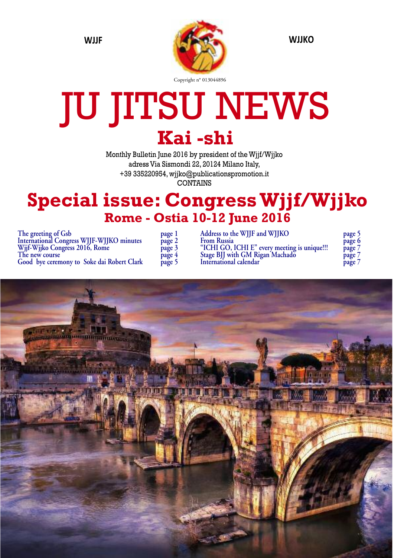

## JU JITSU NEWS **Kai -shi**

Monthly Bulletin June 2016 by president of the Wjjf/Wjjko adress Via Sismondi 22, 20124 Milano Italy, +39 335220954, wjjko@publicationspromotion.it CONTAINS

### **Special issue: CongressWjjf/Wjjko Rome - Ostia 10-12 June 2016**

**The greeting of Gsb page 1 International Congress WJJF-WJJKO** minutes **Wjjf-Wjjko Congress 2016, Rome page 3 The new course page 4 Good bye ceremony to Soke dai Robert Clark page 5**

| page       |  |
|------------|--|
| page 2     |  |
| page 5     |  |
|            |  |
| page 4     |  |
| age 5<br>μ |  |

**Address to the WJJF and WJJKO page 5 From Russia page 6 "ICHI GO, ICHI E" every meeting is unique!!! page 7 Stage BJJ with GM Rigan Machado page 7 International** calendar

| page | ל |
|------|---|
| page | 6 |
| page | Ι |
| page | 7 |
| page |   |

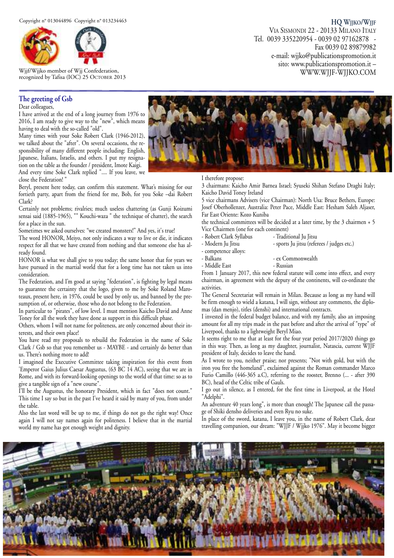

Wjjf/Wjjko member of Wjj Confederation, recognized by Tafisa (IOC) 25 OCTOBER 2013

#### **The greeting of Gsb**

Dear colleagues,

I have arrived at the end of a long journey from 1976 to 2016, I am ready to give way to the "new", which means having to deal with the so-called "old".

Many times with your Soke Robert Clark (1946-2012), we talked about the "after". On several occasions, the responsibility of many different people including: English, Japanese, Italians, Israelis, and others. I put my resignation on the table as the founder / president, Imote Kaigi. And every time Soke Clark replied ".... If you leave, we close the Federation! "

Beryl, present here today, can confirm this statement. What's missing for our fortieth party, apart from the friend for me, Bob, for you Soke –dai Robert Clark?

Certainly not problems; rivalries; much useless chattering (as Gunji Koizumi sensai said (1885-1965), "" Kouchi-waza " the technique of chatter), the search for a place in the sun.

Sometimes we asked ourselves: "we created monsters!" And yes, it's true!

The word HONOR, Meiyo, not only indicates a way to live or die, it indicates respect for all that we have created from nothing and that someone else has already found.

HONOR is what we shall give to you today; the same honor that for years we have pursued in the martial world that for a long time has not taken us into consideration.

The Federation, and I'm good at saying "federation", is fighting by legal means to guarantee the certainty that the logo, given to me by Soke Roland Maroteaux, present here, in 1976, could be used by only us, and banned by the presumption of, or otherwise, those who do not belong to the Federation.

In particular to "pirates", of low level. I must mention Kaicho David and Anne Toney for all the work they have done as support in this difficult phase.

Others, whom I will not name for politeness, are only concerned about their interests, and their own place!

You have read my proposals to rebuild the Federation in the name of Soke Clark / Gsb so that you remember us - MAYBE - and certainly do better than us. There's nothing more to add!

I imagined the Executive Committee taking inspiration for this event from 'Emperor Gaius Julius Caesar Augustus, (63 BC 14 AC), seeing that we are in Rome, and with its forward-looking openings to the world of that time: so as to give a tangible sign of a "new course".

I'll be the Augustus, the honorary President, which in fact "does not count." This time I say so but in the past I've heard it said by many of you, from under the table.

Also the last word will be up to me, if things do not go the right way! Once again I will not say names again for politeness. I believe that in the martial world my name has got enough weight and dignity.

# WWW.WJJF-WJJKO.COM

I therefore propose:

3 chairmans: Kaicho Amir Barnea Israel; Syuseki Shihan Stefano Draghi Italy; Kaicho David Toney Ireland

5 vice chairmans Advisers (vice Chairman): North Usa: Bruce Bethers, Europe: Josef Oberhollenzer, Australia: Peter Pace, Middle East: Hesham Saleh Aljaser, Far East Oriente: Kozo Kuniba

the technical committees will be decided at a later time, by the 3 chairmen + 5 Vice Chairmen (one for each continent)

- Robert Clark Syllabus Traditional Ju Jitsu
- Modern Ju Jitsu sports Ju jitsu (referees / judges etc.)
- competence alloys:
- ex Commonwealth
- Middle East Russian

From 1 January 2017, this new federal statute will come into effect, and every chairman, in agreement with the deputy of the continents, will co-ordinate the activities.

The General Secretariat will remain in Milan. Because as long as my hand will be firm enough to wield a katana, I will sign, without any comments, the diplomas (dan menjo), titles (denshi) and international contracts.

I invested in the federal budget balance, and with my family, also an imposing amount for all my trips made in the past before and after the arrival of "type" of Liverpool, thanks to a lightweight Beryl Miao.

It seems right to me that at least for the four year period 2017/2020 things go in this way. Then, as long as my daughter, journalist, Natascia, current WJJF president of Italy, decides to leave the hand.

As I wrote to you, neither praise; nor presents; "Not with gold, but with the iron you free the homeland", exclaimed against the Roman commander Marco Furio Camillo (446-365 a.C), referring to the rooster, Brenno (... - after 390 BC), head of the Celtic tribe of Gauls.

I go out in silence, as I entered, for the first time in Liverpool, at the Hotel "Adelphi".

An adventure 40 years long", is more than enough! The Japanese call the passage of Shiki densho deliveries and even Ryu no suke.

In place of the sword, katana, I leave you, in the name of Robert Clark, dear travelling companion, our dream: "WJJF / Wjjko 1976". May it become bigger





Fax 0039 02 89879982

Tel. 0039 335220954 - 0039 02 97162878 -

e-mail: wjjko@publicationspromotion.it sito: www.publicationspromotion.it –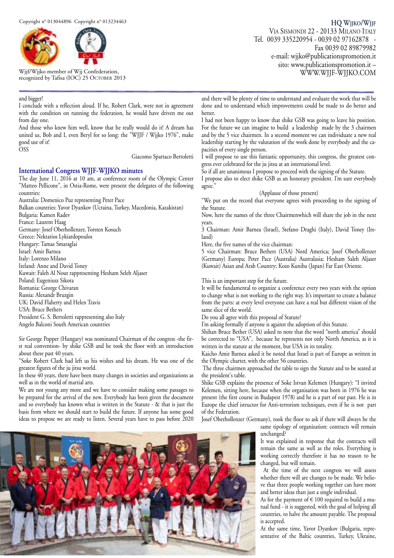

Wjjf/Wjjko member of Wjj Confederation, recognized by Tafisa (IOC) 25 OCTOBER 2013

#### and bigger!

I conclude with a reflection aloud. If he, Robert Clark, were not in agreement with the condition on running the federation, he would have driven me out from day one.

And those who knew him well, know that he really would do it! A dream has united us, Bob and I, even Beryl for so long: the "WJJF / Wjjko 1976", make good use of it!

OSS

Giacomo Spartaco Bertoletti

#### **International Congress WJJF-WJJKO minutes**

The day June 11, 2016 at 10 am, at conference room of the Olympic Center "Matteo Pellicone", in Ostia-Rome, were present the delegates of the following countries:

Australia: Domenico Puz representing Peter Pace

Balkan countries: Yavor Dyankov (Ucraina, Turkey, Macedonia, Kazakistan) Bulgaria: Kamen Radev

France: Laurent Haag

Germany: Josef Oberhollenzer, Torsten Kosuch

Greece: Nektarios Lykiardopoulos

Hungary: Tamas Smaraglai Israel: Amir Barnea

Italy: Lorenzo Milano

Ireland: Anne and David Toney

Kuwait: Faleh Al Nout rappresenting Hesham Seleh Aljaser

Poland: Eugeniusz Sikora

Romania: George Chivaran

Russia: Alexandr Bruzgin

UK: David Flaherty and Helen Travis

USA: Bruce Bethers

President G. S. Bertoletti rappresenting also Italy Angelo Balconi South American countries

Sir George Popper (Hungary) was nominated Chairman of the congress -the first real convention- by shike GSB and he took the floor with an introduction about these past 40 years.

"Soke Robert Clark had left us his wishes and his dream. He was one of the greatest figures of the ju jitsu world.

In these 40 years, there have been many changes in societies and organizations as well as in the world of martial arts.

We are not young any more and we have to consider making some passages to be prepared for the arrival of the new. Everybody has been given the document and so everybody has known what is written in the Statute - & that is just the basis from where we should start to build the future. If anyone has some good ideas to propose we are ready to listen. Several years have to pass before 2020

**HQ WJJKO/WJJF** VIA SISMONDI 22 - 20133 MILANO ITALY Tel. 0039 335220954 - 0039 02 97162878 - Fax 0039 02 89879982 e-mail: wjjko@publicationspromotion.it sito: www.publicationspromotion.it – WWW.WJJF-WJJKO.COM

and there will be plenty of time to understand and evaluate the work that will be done and to understand which improvements could be made to do better and better.

I had not been happy to know that shike GSB was going to leave his position. For the future we can imagine to build a leadership made by the 3 chairmen and by the 5 vice chairmen. In a second moment we can individuate a new real leadership starting by the valutation of the work done by everybody and the capacities of every single person.

I will propose to use this fantastic opportunity, this congress, the greatest congress ever celebrated for the ju jitsu at an international level.

So if all are unanimous I propose to proceed with the signing of the Statute.

I propose also to elect shike GSB as an honorary president. I'm sure everybody agree."

#### (Applause of those present)

"We put on the record that everyone agrees with proceeding to the signing of the Statute.

Now, here the names of the three Chairmenwhich will share the job in the next years.

3 Chairman: Amir Barnea (Israel), Stefano Draghi (Italy), David Toney (Ireland)

Here, the five names of the vice chairman:

5 vice Chairman: Bruce Bethers (USA) Nord America; Josef Oberhollenzer (Germany) Europa; Peter Pace (Australia) Australasia; Hesham Saleh Aljaser (Kuwait) Asian and Arab Country; Kozo Kuniba (Japan) Far East Oriente.

This is an important step for the future.

It will be fundamental to organize a conference every two years with the option to change what is not working to the right way. It's important to create a balance from the parts: at every level everyone can have a real but different vision of the same slice of the world.

Do you all agree with this proposal of Statute?

I'm asking formally if anyone is against the adoption of this Statute.

Shihan Bruce Bether (USA) asked to note that the word "north america" should be corrected to "USA", because he represents not only North America, as it is written in the statute at the moment, but USA in its totality.

Kaicho Amir Barnea asked it be noted that Israel is part of Europe as written in the Olympic charter, with the other 56 countries.

The three chairmen approached the table to sign the Statute and to be seated at the president's table.

Shike GSB explains the presence of Soke Istvan Kelemen (Hungary): "I invited Kelemen, sitting here, because when the organisation was born in 1976 he was present (the first course in Budapest 1978) and he is a part of our past. He is in Europe the chief istructor for Anti-terrorism techniques, even if he is not part of the Federation.

Josef Oberhollenzer (Germany), took the floor to ask if there will always be the

same tipology of organization: contracts will remain unchanged?

It was explained in response that the contracts will remain the same as well as the roles. Everything is working correctly therefore it has no reason to be changed, but will remain.

At the time of the next congress we will assess whether there will are changes to be made. We believe that three people working together can have more and better ideas than just a single individual.

As for the payment of  $\in$  100 required to build a mutual fund - it is suggested, with the goal of helping all countries, to halve the amount payable. The proposal is accepted.

At the same time, Yavor Dyankov (Bulgaria, representative of the Baltic countries, Turkey, Ukraine,

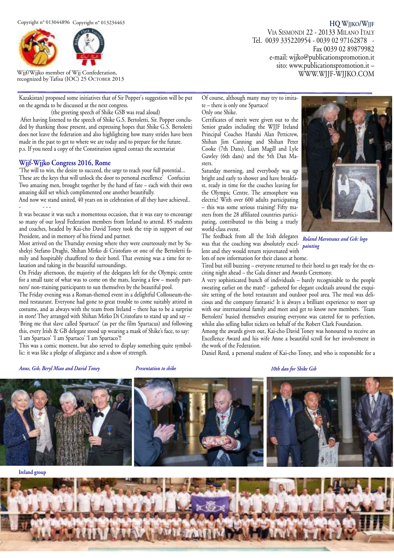

Wjjf/Wjjko member of Wjj Confederation, recognized by Tafisa (IOC) 25 OCTOBER 2013

Kazakistan) proposed some initiatives that of Sir Popper's suggestion will be put on the agenda to be discussed at the next congress.

(the greeting speech of Shike GSB was read aloud)

After having listened to the speech of Shike G.S. Bertoletti, Sir. Popper concluded by thanking those present, and expressing hopes that Shike G.S. Bertoletti does not leave the federation and also highlighting how many strides have been made in the past to get to where we are today and to prepare for the future. p.s. If you need a copy of the Constitution signed contact the secretariat

#### **Wjjf-Wjjko Congress 2016, Rome**

'The will to win, the desire to succeed, the urge to reach your full potential... These are the keys that will unlock the door to personal excellence<sup>3</sup> Confucius Two amazing men, brought together by the hand of fate – each with their own amazing skill set which complimented one another beautifully.

And now we stand united,  $40$  years on in celebration of all they have achieved.. - - - -

It was because it was such a momentous occasion, that it was easy to encourage so many of our loyal Federation members from Ireland to attend. 85 students and coaches, headed by Kai-cho David Toney took the trip in support of our President, and in memory of his friend and partner.

Most arrived on the Thursday evening where they were courteously met by Sushekyi Stefano Draghi, Shihan Mirko di Cristofaro or one of the Bertoletti family and hospitably chauffered to their hotel. That evening was a time for relaxation and taking in the beautiful surroundings.

On Friday afternoon, the majority of the delegates left for the Olympic centre for a small taste of what was to come on the mats, leaving a few – mostly partners/ non-training participants to sun themselves by the beautiful pool.

The Friday evening was a Roman-themed event in a delightful Collosseum-themed restaurant. Everyone had gone to great trouble to come suitably attired in costume, and as always with the team from Ireland – there has to be a surprise in store! They arranged with Shihan Mirko Di Cristofaro to stand up and say – 'Bring me that slave called Spartaco!' (as per the film Spartacus) and following this, every Irish & GB delegate stood up wearing a mask of Shike's face, to say: 'I am Spartaco' 'I am Spartaco' 'I am Spartaco'!!

This was a comic moment, but also served to display something quite symbollic: it was like a pledge of allegiance and a show of strength.

Of course, although many may try to imitate – there is only one Spartaco! Only one Shike.

Certificates of merit were given out to the Senior grades including the WJJF Ireland Principal Coaches Hanshi Alan Petticrew, Shihan Jim Canning and Shihan Peter Cooke (7th Dans), Liam Magill and Lyle Gawley (6th dans) and the 5th Dan Masters.

Saturday morning, and everybody was up bright and early to shower and have breakfast, ready in time for the coaches leaving for the Olympic Centre. The atmosphere was electric! With over 600 adults participating – this was some serious training! Fifty masters from the 28 affiliated countries participating, contributed to this being a truely world-class event.

The feedback from all the Irish delegates was that the coaching was absolutely excellent and they would return rejuvenated with lots of new information for their classes at home.



**HQ WJJKO/WJJF**

Fax 0039 02 89879982

WWW.WJJF-WJJKO.COM

VIA SISMONDI 22 - 20133 MILANO ITALY Tel. 0039 335220954 - 0039 02 97162878 -

> e-mail: wjjko@publicationspromotion.it sito: www.publicationspromotion.it –

*Roland Maroteaux and Gsb: logo painting*

Tired but still buzzing – everyone returned to their hotel to get ready for the exciting night ahead – the Gala dinner and Awards Ceremony.

A very sophisticated bunch of individuals – barely recognisable to the people sweating earlier on the mats!! - gathered for elegant cocktails around the exquisite setting of the hotel restaurant and outdoor pool area. The meal was delicious and the company fantastic! It is always a brilliant experience to meet up with our international family and meet and get to know new members. 'Team Bertoletti' busied themselves ensuring everyone was catered for to perfection, whilst also selling ballot tickets on behalf of the Robert Clark Foundation.

Among the awards given out, Kai-cho David Toney was honoured to receive an Excellence Award and his wife Anne a beautiful scroll for her involvement in the work of the Federation.

Daniel Reed, a personal student of Kai-cho Toney, and who is responsible for a

#### *Anne, Gsb, Beryl Miao and David Toney Presentation to shike 10th dan for Shike Gsb*



**Ireland group**

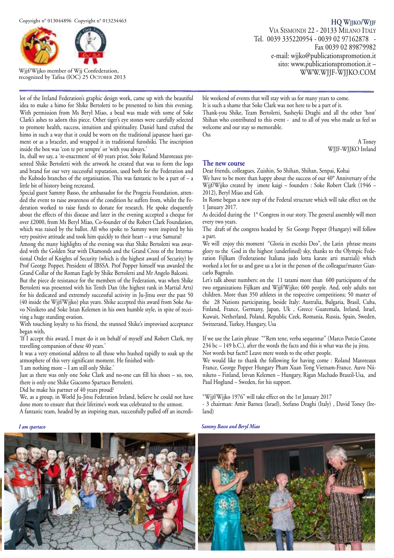

Wjjf/Wjjko member of Wjj Confederation, recognized by Tafisa (IOC) 25 OCTOBER 2013

lot of the Ireland Federation's graphic design work, came up with the beautiful idea to make a himo for Shike Bertoletti to be presented to him this evening. With permission from Ms Beryl Miao, a bead was made with some of Soke Clark's ashes to adorn this piece. Other tiger's eye stones were carefully selected to promote health, success, intuition and spirituality. Daniel hand crafted the himo in such a way that it could be worn on the traditional japanese haori garment or as a bracelet, and wrapped it in traditional furoshiki. The inscription inside the box was 'con te per sempre' or 'with you always.'

In, shall we say, a 're-enactment' of 40 years prior, Soke Roland Maroteaux presented Shike Bertoletti with the artwork he created that was to form the logo and brand for our very successful reputation, used both for the Federation and the Kubodo branches of the organisation. This was fantastic to be a part of – a little bit of history being recreated.

Special guest Sammy Basso, the ambassador for the Progeria Foundation, attended the event to raise awareness of the condition he suffers from, whilst the Federation worked to raise funds to donate for research. He spoke eloquently about the effects of this disease and later in the evening accepted a cheque for over £2000, from Ms Beryl Miao, Co-founder of the Robert Clark Foundation, which was raised by the ballot. All who spoke to Sammy were inspired by his very positive attitude and took him quickly to their heart – a true Samurai!

Among the many highlights of the evening was that Shike Bertoletti was awarded with the Golden Star with Diamonds and the Grand Cross of the International Order of Knights of Security (which is the highest award of Security) by Prof George Popper, President of IBSSA. Prof Popper himself was awarded the Grand Collar of the Roman Eagle by Shike Bertoletti and Mr Angelo Balconi.

But the piece de resistance for the members of the Federation, was when Shike Bertoletti was presented with his Tenth Dan (the highest rank in Martial Arts) for his dedicated and extremely successful activity in Ju-Jitsu over the past 50 (40 inside the Wjjf/Wjjko) plus years. Shike accepted this award from Soke Auvo Niniketo and Soke Istan Kelemen in his own humble style, in spite of receiving a huge standing ovation.

With touching loyalty to his friend, the stunned Shike's improvised acceptance began with,

'If I accept this award, I must do it on behalf of myself and Robert Clark, my travelling companion of these 40 years.'

It was a very emotional address to all those who hushed rapidly to soak up the atmosphere of this very significant moment. He finished with-

'I am nothing more – I am still only Shike.'

Just as there was only one Soke Clark and no-one can fill his shoes – so, too, there is only one Shike Giacomo Spartaco Bertoletti.

Did he make his partner of 40 years proud?

We, as a group, in World Ju-Jitsu Federation Ireland, believe he could not have done more to ensure that their lifetime's work was celebrated to the utmost.

A fantastic team, headed by an inspiring man, successfully pulled off an incredi-

**HQ WJJKO/WJJF** VIA SISMONDI 22 - 20133 MILANO ITALY Tel. 0039 335220954 - 0039 02 97162878 - Fax 0039 02 89879982 e-mail: wjjko@publicationspromotion.it sito: www.publicationspromotion.it – WWW.WJJF-WJJKO.COM

ble weekend of events that will stay with us for many years to come. It is such a shame that Soke Clark was not here to be a part of it. Thank-you Shike, Team Bertoletti, Susheyki Draghi and all the other 'host' Shihan who contributed to this event - and to all of you who made us feel so welcome and our stay so memorable. Oss

> A Toney WJJF-WJJKO Ireland

#### **The new course**

Dear friends, colleagues, Zuishin, So Shihan, Shihan, Senpai, Kohai

We have to be more than happy about the success of our 40° Anniversary of the Wjjf/Wjjko created by imote kaigi – founders : Soke Robert Clark (1946 – 2012), Beryl Miao and Gsb.

In Rome began a new step of the Federal structure which will take effect on the 1 January 2017.

As decided during the 1° Congress in our story. The general assembly will meet every two years.

The draft of the congress headed by Sir George Popper (Hungary) will follow a part.

We will enjoy this moment "Gloria in excelsis Deo", the Latin phrase means glory to the God in the highest (underlined) sky, thanks to the Olympic Federation Fijlkam (Federazione Italiana judo lotta karate arti marziali) which worked a lot for us and gave us a lot in the person of the colleague/master Giancarlo Bagnulo.

Let's talk about numbers: on the 11 tatami more than 600 participants of the two organizations Fijlkam and Wjjf/Wjjko; 600 people. And, only adults not children. More than 350 athletes in the respective competitions; 50 master of the 28 Nations participating, beside Italy: Australia, Bulgaria, Brasil, Cuba, Finland, France, Germany, Japan, Uk , Greece Guatemala, Ireland, Israel, Kuwait, Netherland, Poland, Republic Czek, Romania, Russia, Spain, Sweden, Switzerand, Turkey, Hungary, Usa

If we use the Latin phrase ""Rem tene, verba sequentur" (Marco Porcio Catone 234 bc – 149 b.C.), after the words the facts and this is what was the ju jitsu. Not words but facts!! Leave mere words to the other people.

We would like to thank the following for having come : Roland Maroteaux France, George Popper Hungary Pham Xuan Tong Vietnam-France. Auvo Niiniketo – Finland, Istvan Kelemen – Hungary, Rigan Machado Braszil-Usa, and Paul Hoglund – Sweden, for his support.

"Wjjf/Wjjko 1976" will take effect on the 1st January 2017

- 3 chairman: Amir Barnea (Israel), Stefano Draghi (Italy) , David Toney (Ireland)

*I am spartaco Sammy Basso and Beryl Miao*

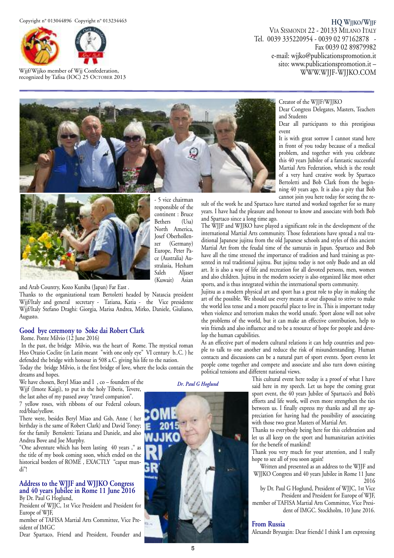

Wjjf/Wjjko member of Wjj Confederation, recognized by Tafisa (IOC) 25 OCTOBER 2013

#### **HQ WJJKO/WJJF** VIA SISMONDI 22 - 20133 MILANO ITALY

Tel. 0039 335220954 - 0039 02 97162878 - Fax 0039 02 89879982 e-mail: wjjko@publicationspromotion.it sito: www.publicationspromotion.it – WWW.WJJF-WJJKO.COM



- 5 vice chairman responsible of the continent : Bruce Bethers (Usa) North America, Josef Oberhollenzer (Germany) Europe, Peter Pace (Australia) Australasia, Hesham<br>Saleh Aljaser Aljaser<br>Asian (Kuwait)

and Arab Country, Kozo Kuniba (Japan) Far East .

Thanks to the organizational team Bertoletti headed by Natascia president Wjjf/Italy and general secretary - Tatiana, Katia - the Vice presidente Wjjf/Italy Stefano Draghi: Giorgia, Marisa Andrea, Mirko, Daniele, Giuliano, Augusto.

#### **Good bye ceremony to Soke dai Robert Clark**

Rome. Ponte Milvio (12 June 2016)

In the past, the bridge Milvio, was the heart of Rome. The mystical roman Heo Orazio Coclite (in Latin meant "with one only eye" VI century b..C. ) he defended the bridge with honour in 508 a.C. giving his life to the nation.

Today the bridge Milvio, is the first bridge of love, where the locks contain the dreams and hopes.

We have chosen, Beryl Miao and I, co – founders of the Wjjf (Imote Kaigi), to put in the holy Tiberis, Tevere,

the last ashes of my passed away "travel companion".

7 yellow roses, with ribbons of our Federal colours, red/blue/yellow.

There were, besides Beryl Miao and Gsb, Anne ( her birthday is the same of Robert Clark) and David Toney; for the family Bertoletti: Tatiana and Daniele, and also Andrea Bove and Joe Murphy.

"One adventure which has been lasting 40 years ," as the title of my book coming soon, which ended on the historical borders of ROME , EXACTLY "caput mundi"!

#### **Address to the WJJF and WJJKO Congress and 40 years Jubilee in Rome 11 June 2016** By Dr. Paul G Hoglund,

President of WJJC, 1st Vice President and President for Europe of WJF,

member of TAFISA Martial Arts Committee, Vice President of IMGC

Dear Spartaco, Friend and President, Founder and



Creator of the WJJF/WJJKO

Dear Congress Delegates, Masters, Teachers and Students

Dear all participants to this prestigious event

It is with great sorrow I cannot stand here in front of you today because of a medical problem, and together with you celebrate this 40 years Jubilee of a fantastic successful Martial Arts Federation, which is the result of a very hard creative work by Spartaco Bertoletti and Bob Clark from the beginning 40 years ago. It is also a pity that Bob cannot join you here today for seeing the re-

sult of the work he and Spartaco have started and worked together for so many years. I have had the pleasure and honour to know and associate with both Bob and Spartaco since a long time ago.

The WJJF and WJJKO have played a significant role in the development of the international Martial Arts community. Those federations have spread a real traditional Japanese jujitsu from the old Japanese schools and styles of this ancient Martial Art from the feudal time of the samurais in Japan. Spartaco and Bob have all the time stressed the importance of tradition and hard training as presented in real traditional jujitsu. But jujitsu today is not only Budo and an old art. It is also a way of life and recreation for all devoted persons, men, women and also children. Jujitsu in the modern society is also organized like most other sports, and is thus integrated within the international sports community.

Jujitsu as a modern physical art and sport has a great role to play in making the art of the possible. We should use every means at our disposal to strive to make the world less tense and a more peaceful place to live in. This is important today when violence and terrorism makes the world unsafe. Sport alone will not solve the problems of the world, but it can make an effective contribution, help to win friends and also influence and to be a resource of hope for people and develop the human capabilities.

As an effective part of modern cultural relations it can help countries and people to talk to one another and reduce the risk of misunderstanding. Human contacts and discussions can be a natural part of sport events. Sport events let people come together and compete and associate and also turn down existing political tensions and different national views.

This cultural event here today is a proof of what I have said here in my speech. Let us hope the coming great sport event, the 40 years Jubilee of Spartaco's and Bob's efforts and life work, will even more strengthen the ties between us. I finally express my thanks and all my appreciation for having had the possibility of associating with those two great Masters of Martial Art.

Thanks to everybody being here for this celebration and let us all keep on the sport and humanitarian activities for the benefit of mankind!

Thank you very much for your attention, and I really hope to see all of you soon again!

Written and presented as an address to the WJJF and WJJKO Congress and 40 years Jubilee in Rome 11 June 2016

by Dr. Paul G Hoglund, President of WJJC, 1st Vice President and President for Europe of WJF, member of TAFISA Martial Arts Committee, Vice President of IMGC. Stockholm, 10 June 2016.

#### **From Russia**

Alexandr Bryuzgin: Dear friends! I think I am expressing